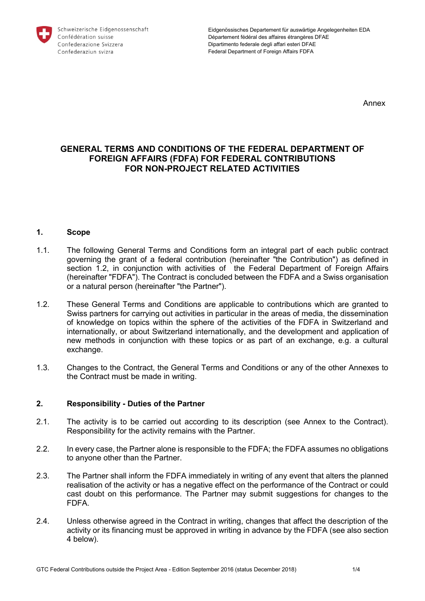

Annex

# **GENERAL TERMS AND CONDITIONS OF THE FEDERAL DEPARTMENT OF FOREIGN AFFAIRS (FDFA) FOR FEDERAL CONTRIBUTIONS FOR NON-PROJECT RELATED ACTIVITIES**

#### **1. Scope**

- 1.1. The following General Terms and Conditions form an integral part of each public contract governing the grant of a federal contribution (hereinafter "the Contribution") as defined in section 1.2, in conjunction with activities of the Federal Department of Foreign Affairs (hereinafter "FDFA"). The Contract is concluded between the FDFA and a Swiss organisation or a natural person (hereinafter "the Partner").
- 1.2. These General Terms and Conditions are applicable to contributions which are granted to Swiss partners for carrying out activities in particular in the areas of media, the dissemination of knowledge on topics within the sphere of the activities of the FDFA in Switzerland and internationally, or about Switzerland internationally, and the development and application of new methods in conjunction with these topics or as part of an exchange, e.g. a cultural exchange.
- 1.3. Changes to the Contract, the General Terms and Conditions or any of the other Annexes to the Contract must be made in writing.

# **2. Responsibility - Duties of the Partner**

- 2.1. The activity is to be carried out according to its description (see Annex to the Contract). Responsibility for the activity remains with the Partner.
- 2.2. In every case, the Partner alone is responsible to the FDFA; the FDFA assumes no obligations to anyone other than the Partner.
- 2.3. The Partner shall inform the FDFA immediately in writing of any event that alters the planned realisation of the activity or has a negative effect on the performance of the Contract or could cast doubt on this performance. The Partner may submit suggestions for changes to the FDFA.
- 2.4. Unless otherwise agreed in the Contract in writing, changes that affect the description of the activity or its financing must be approved in writing in advance by the FDFA (see also section 4 below).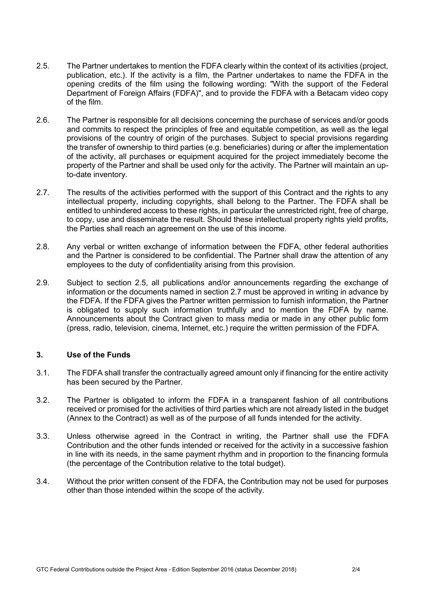- 2.5. The Partner undertakes to mention the FDFA clearly within the context of its activities (project, publication, etc.). If the activity is a film, the Partner undertakes to name the FDFA in the opening credits of the film using the following wording: "With the support of the Federal Department of Foreign Affairs (FDFA)", and to provide the FDFA with a Betacam video copy of the film.
- 2.6. The Partner is responsible for all decisions concerning the purchase of services and/or goods and commits to respect the principles of free and equitable competition, as well as the legal provisions of the country of origin of the purchases. Subject to special provisions regarding the transfer of ownership to third parties (e.g. beneficiaries) during or after the implementation of the activity, all purchases or equipment acquired for the project immediately become the property of the Partner and shall be used only for the activity. The Partner will maintain an upto-date inventory.
- 2.7. The results of the activities performed with the support of this Contract and the rights to any intellectual property, including copyrights, shall belong to the Partner. The FDFA shall be entitled to unhindered access to these rights, in particular the unrestricted right, free of charge, to copy, use and disseminate the result. Should these intellectual property rights yield profits, the Parties shall reach an agreement on the use of this income.
- 2.8. Any verbal or written exchange of information between the FDFA, other federal authorities and the Partner is considered to be confidential. The Partner shall draw the attention of any employees to the duty of confidentiality arising from this provision.
- 2.9. Subject to section 2.5, all publications and/or announcements regarding the exchange of information or the documents named in section 2.7 must be approved in writing in advance by the FDFA. If the FDFA gives the Partner written permission to furnish information, the Partner is obligated to supply such information truthfully and to mention the FDFA by name. Announcements about the Contract given to mass media or made in any other public form (press, radio, television, cinema, Internet, etc.) require the written permission of the FDFA.

# **3. Use of the Funds**

- 3.1. The FDFA shall transfer the contractually agreed amount only if financing for the entire activity has been secured by the Partner.
- 3.2. The Partner is obligated to inform the FDFA in a transparent fashion of all contributions received or promised for the activities of third parties which are not already listed in the budget (Annex to the Contract) as well as of the purpose of all funds intended for the activity.
- 3.3. Unless otherwise agreed in the Contract in writing, the Partner shall use the FDFA Contribution and the other funds intended or received for the activity in a successive fashion in line with its needs, in the same payment rhythm and in proportion to the financing formula (the percentage of the Contribution relative to the total budget).
- 3.4. Without the prior written consent of the FDFA, the Contribution may not be used for purposes other than those intended within the scope of the activity.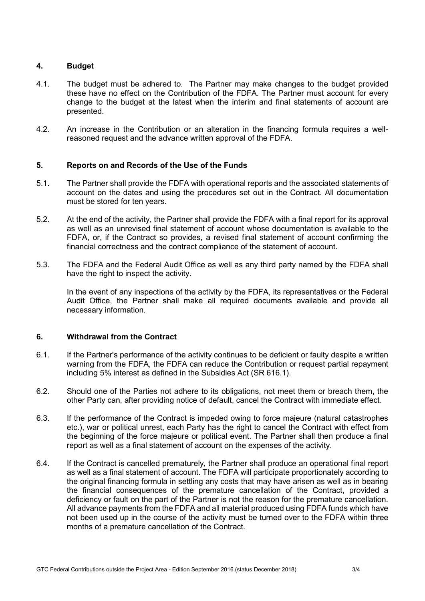# **4. Budget**

- 4.1. The budget must be adhered to. The Partner may make changes to the budget provided these have no effect on the Contribution of the FDFA. The Partner must account for every change to the budget at the latest when the interim and final statements of account are presented.
- 4.2. An increase in the Contribution or an alteration in the financing formula requires a wellreasoned request and the advance written approval of the FDFA.

#### **5. Reports on and Records of the Use of the Funds**

- 5.1. The Partner shall provide the FDFA with operational reports and the associated statements of account on the dates and using the procedures set out in the Contract. All documentation must be stored for ten years.
- 5.2. At the end of the activity, the Partner shall provide the FDFA with a final report for its approval as well as an unrevised final statement of account whose documentation is available to the FDFA, or, if the Contract so provides, a revised final statement of account confirming the financial correctness and the contract compliance of the statement of account.
- 5.3. The FDFA and the Federal Audit Office as well as any third party named by the FDFA shall have the right to inspect the activity.

In the event of any inspections of the activity by the FDFA, its representatives or the Federal Audit Office, the Partner shall make all required documents available and provide all necessary information.

## **6. Withdrawal from the Contract**

- 6.1. If the Partner's performance of the activity continues to be deficient or faulty despite a written warning from the FDFA, the FDFA can reduce the Contribution or request partial repayment including 5% interest as defined in the Subsidies Act (SR 616.1).
- 6.2. Should one of the Parties not adhere to its obligations, not meet them or breach them, the other Party can, after providing notice of default, cancel the Contract with immediate effect.
- 6.3. If the performance of the Contract is impeded owing to force majeure (natural catastrophes etc.), war or political unrest, each Party has the right to cancel the Contract with effect from the beginning of the force majeure or political event. The Partner shall then produce a final report as well as a final statement of account on the expenses of the activity.
- 6.4. If the Contract is cancelled prematurely, the Partner shall produce an operational final report as well as a final statement of account. The FDFA will participate proportionately according to the original financing formula in settling any costs that may have arisen as well as in bearing the financial consequences of the premature cancellation of the Contract, provided a deficiency or fault on the part of the Partner is not the reason for the premature cancellation. All advance payments from the FDFA and all material produced using FDFA funds which have not been used up in the course of the activity must be turned over to the FDFA within three months of a premature cancellation of the Contract.